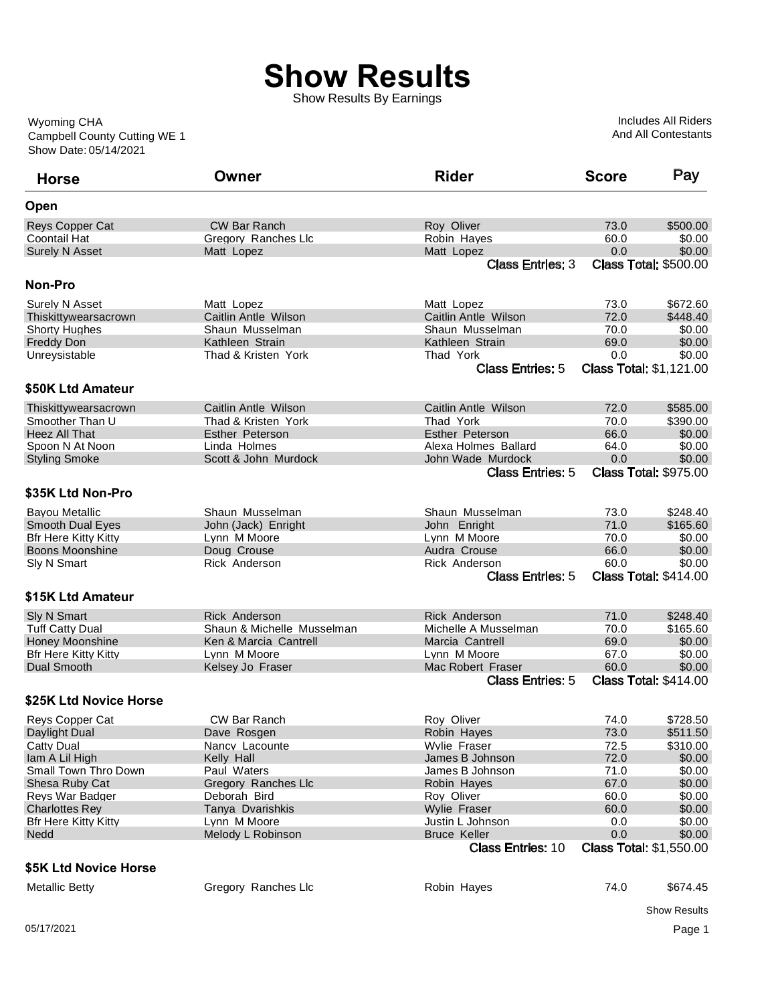## **Show Results**

Show Results By Earnings

Show Date: 05/14/2021 Campbell County Cutting WE 1 Wyoming CHA

Includes All Riders And All Contestants

| <b>Horse</b>                | Owner                      | <b>Rider</b>             | <b>Score</b> | Pay                            |
|-----------------------------|----------------------------|--------------------------|--------------|--------------------------------|
| Open                        |                            |                          |              |                                |
| <b>Reys Copper Cat</b>      | <b>CW Bar Ranch</b>        | Roy Oliver               | 73.0         | \$500.00                       |
| <b>Coontail Hat</b>         | Gregory Ranches Llc        | Robin Hayes              | 60.0         | \$0.00                         |
| <b>Surely N Asset</b>       | Matt Lopez                 | Matt Lopez               | 0.0          | \$0.00                         |
|                             |                            | <b>Class Entries: 3</b>  |              | <b>Class Total: \$500.00</b>   |
| Non-Pro                     |                            |                          |              |                                |
| Surely N Asset              | Matt Lopez                 | Matt Lopez               | 73.0         | \$672.60                       |
| Thiskittywearsacrown        | Caitlin Antle Wilson       | Caitlin Antle Wilson     | 72.0         | \$448.40                       |
| <b>Shorty Hughes</b>        | Shaun Musselman            | Shaun Musselman          | 70.0         | \$0.00                         |
| <b>Freddy Don</b>           | Kathleen Strain            | Kathleen Strain          | 69.0         | \$0.00                         |
| Unreysistable               | Thad & Kristen York        | Thad York                | 0.0          | \$0.00                         |
|                             |                            | <b>Class Entries: 5</b>  |              | <b>Class Total: \$1,121.00</b> |
| \$50K Ltd Amateur           |                            |                          |              |                                |
| Thiskittywearsacrown        | Caitlin Antle Wilson       | Caitlin Antle Wilson     | 72.0         | \$585.00                       |
| Smoother Than U             | Thad & Kristen York        | Thad York                | 70.0         | \$390.00                       |
| <b>Heez All That</b>        | <b>Esther Peterson</b>     | <b>Esther Peterson</b>   | 66.0         | \$0.00                         |
| Spoon N At Noon             | Linda Holmes               | Alexa Holmes Ballard     | 64.0         | \$0.00                         |
| <b>Styling Smoke</b>        | Scott & John Murdock       | John Wade Murdock        | 0.0          | \$0.00                         |
|                             |                            | <b>Class Entries: 5</b>  |              | <b>Class Total: \$975.00</b>   |
| \$35K Ltd Non-Pro           |                            |                          |              |                                |
|                             |                            |                          |              |                                |
| <b>Bayou Metallic</b>       | Shaun Musselman            | Shaun Musselman          | 73.0         | \$248.40                       |
| <b>Smooth Dual Eyes</b>     | John (Jack) Enright        | John Enright             | 71.0         | \$165.60                       |
| <b>Bfr Here Kitty Kitty</b> | Lynn M Moore               | Lynn M Moore             | 70.0         | \$0.00                         |
| Boons Moonshine             | Doug Crouse                | Audra Crouse             | 66.0         | \$0.00                         |
| Sly N Smart                 | Rick Anderson              | <b>Rick Anderson</b>     | 60.0         | \$0.00                         |
|                             |                            | <b>Class Entries: 5</b>  |              | <b>Class Total: \$414.00</b>   |
| \$15K Ltd Amateur           |                            |                          |              |                                |
| <b>Sly N Smart</b>          | <b>Rick Anderson</b>       | <b>Rick Anderson</b>     | 71.0         | \$248.40                       |
| <b>Tuff Catty Dual</b>      | Shaun & Michelle Musselman | Michelle A Musselman     | 70.0         | \$165.60                       |
| <b>Honey Moonshine</b>      | Ken & Marcia Cantrell      | Marcia Cantrell          | 69.0         | \$0.00                         |
| <b>Bfr Here Kitty Kitty</b> | Lynn M Moore               | Lynn M Moore             | 67.0         | \$0.00                         |
| Dual Smooth                 | Kelsey Jo Fraser           | Mac Robert Fraser        | 60.0         | \$0.00                         |
|                             |                            | <b>Class Entries: 5</b>  |              | <b>Class Total: \$414.00</b>   |
| \$25K Ltd Novice Horse      |                            |                          |              |                                |
| Reys Copper Cat             | <b>CW Bar Ranch</b>        | Roy Oliver               | 74.0         | \$728.50                       |
| Daylight Dual               | Dave Rosgen                | Robin Hayes              | 73.0         | \$511.50                       |
| <b>Catty Dual</b>           | Nancy Lacounte             | Wylie Fraser             | 72.5         | \$310.00                       |
| Iam A Lil High              | Kelly Hall                 | James B Johnson          | 72.0         | \$0.00                         |
| Small Town Thro Down        | Paul Waters                | James B Johnson          | 71.0         | \$0.00                         |
| Shesa Ruby Cat              | Gregory Ranches Llc        | Robin Hayes              | 67.0         | \$0.00                         |
| Reys War Badger             | Deborah Bird               | Roy Oliver               | 60.0         | \$0.00                         |
| <b>Charlottes Rey</b>       | Tanya Dvarishkis           | <b>Wylie Fraser</b>      | 60.0         | \$0.00                         |
| <b>Bfr Here Kitty Kitty</b> | Lynn M Moore               | Justin L Johnson         | 0.0          | \$0.00                         |
| <b>Nedd</b>                 | Melody L Robinson          | <b>Bruce Keller</b>      | 0.0          | \$0.00                         |
|                             |                            | <b>Class Entries: 10</b> |              | <b>Class Total: \$1,550.00</b> |
| \$5K Ltd Novice Horse       |                            |                          |              |                                |
| <b>Metallic Betty</b>       | Gregory Ranches Llc        | Robin Hayes              | 74.0         | \$674.45                       |
|                             |                            |                          |              |                                |
|                             |                            |                          |              | <b>Show Results</b>            |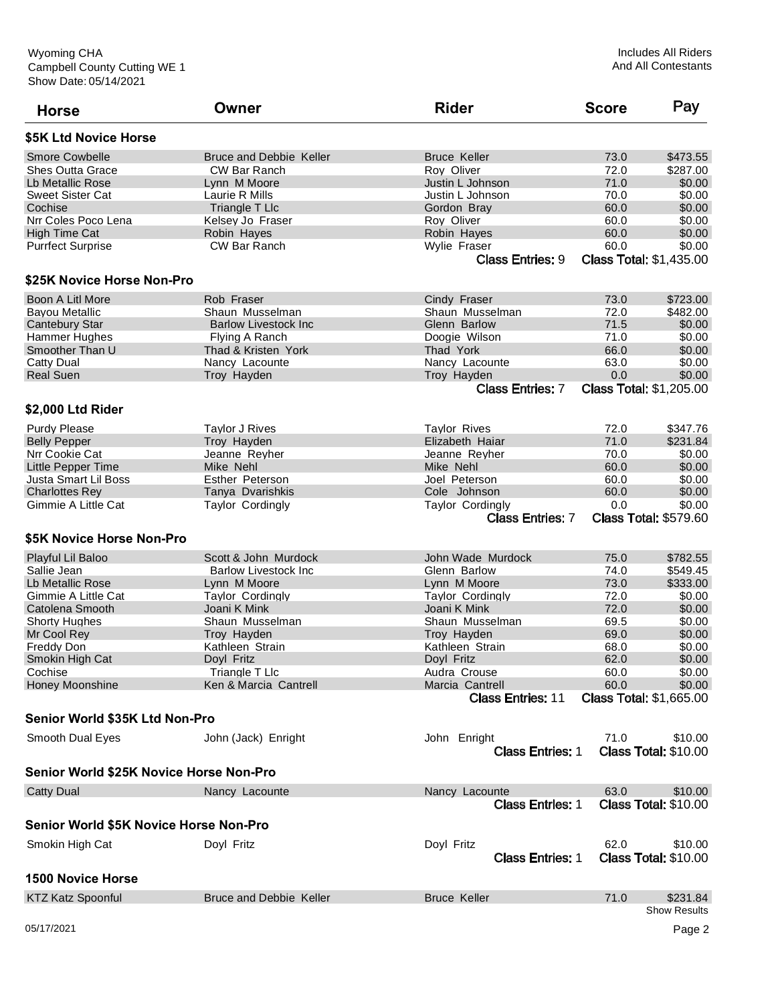| <b>Horse</b>                            | Owner                          | <b>Rider</b>             | <b>Score</b> | Pay                             |
|-----------------------------------------|--------------------------------|--------------------------|--------------|---------------------------------|
| \$5K Ltd Novice Horse                   |                                |                          |              |                                 |
| <b>Smore Cowbelle</b>                   | <b>Bruce and Debbie Keller</b> | <b>Bruce Keller</b>      | 73.0         | \$473.55                        |
| <b>Shes Outta Grace</b>                 | CW Bar Ranch                   | Roy Oliver               | 72.0         | \$287.00                        |
| Lb Metallic Rose                        | Lynn M Moore                   | Justin L Johnson         | 71.0         | \$0.00                          |
| <b>Sweet Sister Cat</b>                 | Laurie R Mills                 | Justin L Johnson         | 70.0         | \$0.00                          |
| Cochise                                 | Triangle T Llc                 | Gordon Bray              | 60.0         | \$0.00                          |
| Nrr Coles Poco Lena                     | Kelsey Jo Fraser               | Rov Oliver               | 60.0         | \$0.00                          |
| <b>High Time Cat</b>                    | Robin Hayes                    | Robin Hayes              | 60.0         | \$0.00                          |
| <b>Purrfect Surprise</b>                | CW Bar Ranch                   | Wylie Fraser             | 60.0         | \$0.00                          |
|                                         |                                | <b>Class Entries: 9</b>  |              | <b>Class Total: \$1,435.00</b>  |
| \$25K Novice Horse Non-Pro              |                                |                          |              |                                 |
| Boon A Litl More                        | Rob Fraser                     | Cindy Fraser             | 73.0         | \$723.00                        |
| <b>Bayou Metallic</b>                   | Shaun Musselman                | Shaun Musselman          | 72.0         | \$482.00                        |
| <b>Cantebury Star</b>                   | <b>Barlow Livestock Inc</b>    | Glenn Barlow             | 71.5         | \$0.00                          |
| Hammer Hughes                           | Flying A Ranch                 | Doogie Wilson            | 71.0         | \$0.00                          |
| Smoother Than U                         | Thad & Kristen York            | Thad York                | 66.0         | \$0.00                          |
| Catty Dual                              | Nancy Lacounte                 | Nancy Lacounte           | 63.0         | \$0.00                          |
|                                         |                                |                          |              |                                 |
| <b>Real Suen</b>                        | Troy Hayden                    | Troy Hayden              | 0.0          | \$0.00                          |
| \$2,000 Ltd Rider                       |                                | <b>Class Entries: 7</b>  |              | <b>Class Total: \$1,205.00</b>  |
|                                         |                                |                          |              |                                 |
| <b>Purdy Please</b>                     | <b>Taylor J Rives</b>          | <b>Taylor Rives</b>      | 72.0         | \$347.76                        |
| <b>Belly Pepper</b>                     | Troy Hayden                    | Elizabeth Haiar          | 71.0         | \$231.84                        |
| Nrr Cookie Cat                          | Jeanne Reyher                  | Jeanne Reyher            | 70.0         | \$0.00                          |
| <b>Little Pepper Time</b>               | Mike Nehl                      | Mike Nehl                | 60.0         | \$0.00                          |
| Justa Smart Lil Boss                    | <b>Esther Peterson</b>         | Joel Peterson            | 60.0         | \$0.00                          |
| <b>Charlottes Rev</b>                   | Tanya Dvarishkis               | Cole Johnson             | 60.0         | \$0.00                          |
| Gimmie A Little Cat                     | <b>Taylor Cordingly</b>        | <b>Taylor Cordingly</b>  | 0.0          | \$0.00                          |
|                                         |                                | <b>Class Entries: 7</b>  |              | <b>Class Total: \$579.60</b>    |
| \$5K Novice Horse Non-Pro               |                                |                          |              |                                 |
| Playful Lil Baloo                       | Scott & John Murdock           | John Wade Murdock        | 75.0         | \$782.55                        |
| Sallie Jean                             | <b>Barlow Livestock Inc.</b>   | Glenn Barlow             | 74.0         | \$549.45                        |
| Lb Metallic Rose                        | Lynn M Moore                   | Lynn M Moore             | 73.0         | \$333.00                        |
| Gimmie A Little Cat                     | <b>Taylor Cordingly</b>        | <b>Taylor Cordingly</b>  | 72.0         | \$0.00                          |
| <b>Catolena Smooth</b>                  | Joani K Mink                   | Joani K Mink             | 72.0         | \$0.00                          |
| <b>Shorty Hughes</b>                    | Shaun Musselman                | Shaun Musselman          | 69.5         | \$0.00                          |
| Mr Cool Rev                             | Troy Hayden                    | Troy Hayden              | 69.0         | \$0.00                          |
|                                         |                                |                          |              |                                 |
| Freddy Don                              | Kathleen Strain                | Kathleen Strain          | 68.0         | \$0.00                          |
| Smokin High Cat                         | Doyl Fritz                     | Doyl Fritz               | 62.0         | \$0.00                          |
| Cochise                                 | Triangle T Llc                 | Audra Crouse             | 60.0         | \$0.00                          |
| <b>Honey Moonshine</b>                  | Ken & Marcia Cantrell          | Marcia Cantrell          | 60.0         | \$0.00                          |
|                                         |                                | <b>Class Entries: 11</b> |              | <b>Class Total: \$1,665.00</b>  |
| Senior World \$35K Ltd Non-Pro          |                                |                          |              |                                 |
| Smooth Dual Eyes                        | John (Jack) Enright            | John Enright             | 71.0         | \$10.00                         |
|                                         |                                | <b>Class Entries: 1</b>  |              | <b>Class Total: \$10.00</b>     |
| Senior World \$25K Novice Horse Non-Pro |                                |                          |              |                                 |
| <b>Catty Dual</b>                       | Nancy Lacounte                 | Nancy Lacounte           | 63.0         | \$10.00                         |
|                                         |                                | <b>Class Entries: 1</b>  |              | <b>Class Total: \$10.00</b>     |
| Senior World \$5K Novice Horse Non-Pro  |                                |                          |              |                                 |
| Smokin High Cat                         | Doyl Fritz                     | Doyl Fritz               | 62.0         | \$10.00                         |
|                                         |                                | <b>Class Entries: 1</b>  |              | <b>Class Total: \$10.00</b>     |
| <b>1500 Novice Horse</b>                |                                |                          |              |                                 |
| <b>KTZ Katz Spoonful</b>                | Bruce and Debbie Keller        | <b>Bruce Keller</b>      | 71.0         | \$231.84<br><b>Show Results</b> |
| 05/17/2021                              |                                |                          |              | Page 2                          |
|                                         |                                |                          |              |                                 |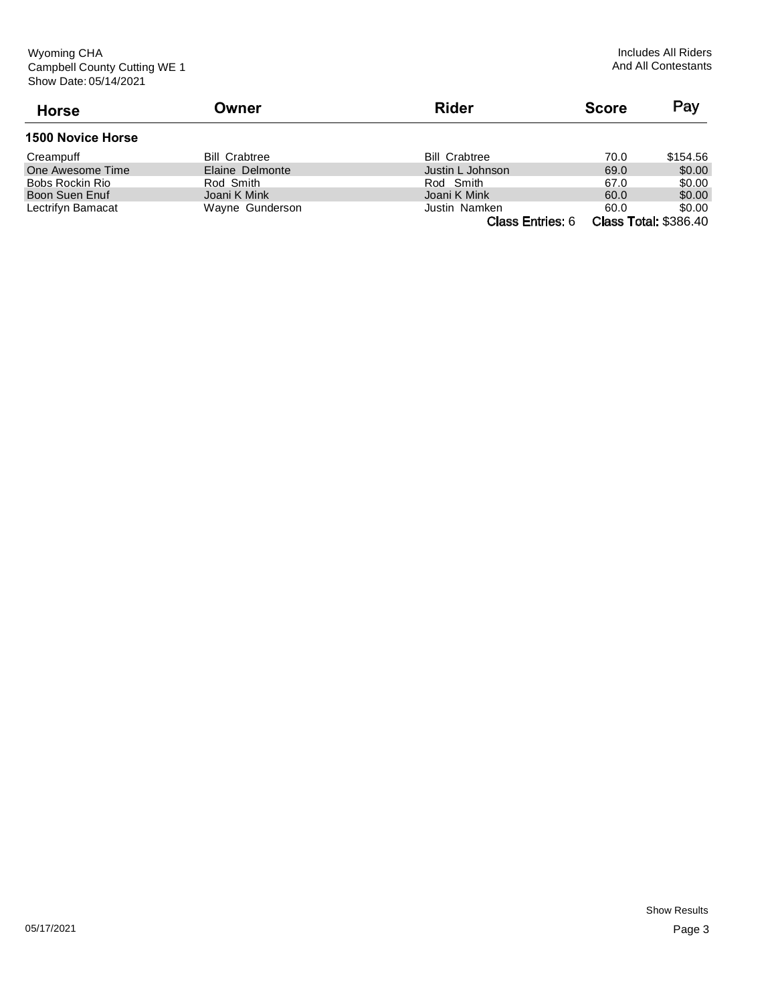| <b>Horse</b>             | Owner                | <b>Rider</b>                                                               | <b>Score</b> | Pay                  |
|--------------------------|----------------------|----------------------------------------------------------------------------|--------------|----------------------|
| <b>1500 Novice Horse</b> |                      |                                                                            |              |                      |
| Creampuff                | <b>Bill Crabtree</b> | <b>Bill Crabtree</b>                                                       | 70.0         | \$154.56             |
| One Awesome Time         | Elaine Delmonte      | Justin L Johnson                                                           | 69.0         | \$0.00               |
| Bobs Rockin Rio          | Rod Smith            | Rod Smith                                                                  | 67.0         | \$0.00               |
| Boon Suen Enuf           | Joani K Mink         | Joani K Mink                                                               | 60.0         | \$0.00               |
| Lectrifyn Bamacat        | Wayne Gunderson      | Justin Namken                                                              | 60.0         | \$0.00               |
|                          |                      | $\bigcap_{n=1}^{\infty}$ $\bigcap_{n=1}^{\infty}$ $\bigcap_{n=1}^{\infty}$ |              | Cleas Tatal: COOC 10 |

Class Entries: 6 Class Total: \$386.40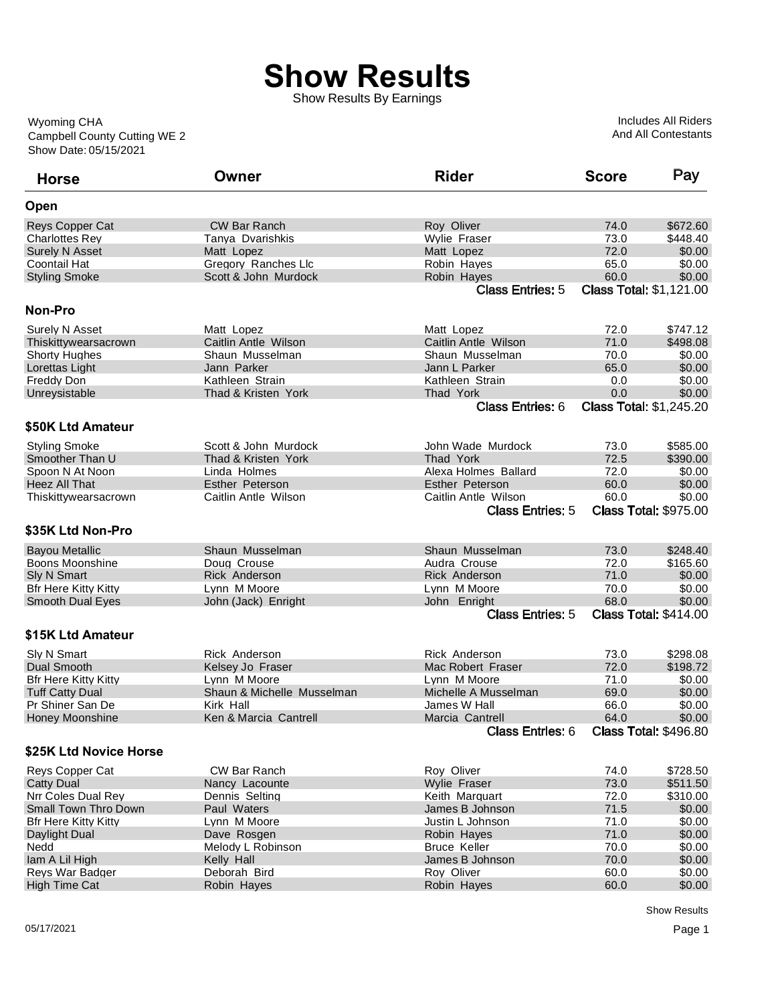## **Show Results**

Show Results By Earnings

Show Date: 05/15/2021 Campbell County Cutting WE 2 Wyoming CHA

Includes All Riders And All Contestants

| <b>Horse</b>                | Owner                      | <b>Rider</b>            | <b>Score</b>                   | Pay                          |
|-----------------------------|----------------------------|-------------------------|--------------------------------|------------------------------|
| Open                        |                            |                         |                                |                              |
| Reys Copper Cat             | <b>CW Bar Ranch</b>        | Roy Oliver              | 74.0                           | \$672.60                     |
| <b>Charlottes Rev</b>       | Tanya Dvarishkis           | Wylie Fraser            | 73.0                           | \$448.40                     |
| <b>Surely N Asset</b>       | Matt Lopez                 | Matt Lopez              | 72.0                           | \$0.00                       |
| <b>Coontail Hat</b>         | Gregory Ranches Llc        | Robin Hayes             | 65.0                           | \$0.00                       |
| <b>Styling Smoke</b>        | Scott & John Murdock       | Robin Hayes             | 60.0                           | \$0.00                       |
|                             |                            | <b>Class Entries: 5</b> | <b>Class Total: \$1,121.00</b> |                              |
| Non-Pro                     |                            |                         |                                |                              |
| Surely N Asset              | Matt Lopez                 | Matt Lopez              | 72.0                           | \$747.12                     |
| Thiskittywearsacrown        | Caitlin Antle Wilson       | Caitlin Antle Wilson    | 71.0                           | \$498.08                     |
| <b>Shorty Hughes</b>        | Shaun Musselman            | Shaun Musselman         | 70.0                           | \$0.00                       |
| Lorettas Light              | Jann Parker                | Jann L Parker           | 65.0                           | \$0.00                       |
| Freddy Don                  | Kathleen Strain            | Kathleen Strain         | 0.0                            | \$0.00                       |
| Unreysistable               | Thad & Kristen York        | Thad York               | 0.0                            | \$0.00                       |
|                             |                            | <b>Class Entries: 6</b> | <b>Class Total: \$1,245.20</b> |                              |
| \$50K Ltd Amateur           |                            |                         |                                |                              |
|                             |                            |                         |                                |                              |
| <b>Styling Smoke</b>        | Scott & John Murdock       | John Wade Murdock       | 73.0                           | \$585.00                     |
| Smoother Than U             | Thad & Kristen York        | Thad York               | 72.5                           | \$390.00                     |
| Spoon N At Noon             | Linda Holmes               | Alexa Holmes Ballard    | 72.0                           | \$0.00                       |
| <b>Heez All That</b>        | <b>Esther Peterson</b>     | Esther Peterson         | 60.0                           | \$0.00                       |
| Thiskittywearsacrown        | Caitlin Antle Wilson       | Caitlin Antle Wilson    | 60.0                           | \$0.00                       |
|                             |                            | <b>Class Entries: 5</b> |                                | <b>Class Total: \$975.00</b> |
| \$35K Ltd Non-Pro           |                            |                         |                                |                              |
| <b>Bayou Metallic</b>       | Shaun Musselman            | Shaun Musselman         | 73.0                           | \$248.40                     |
| Boons Moonshine             | Doug Crouse                | Audra Crouse            | 72.0                           | \$165.60                     |
| Sly N Smart                 | <b>Rick Anderson</b>       | <b>Rick Anderson</b>    | 71.0                           | \$0.00                       |
| <b>Bfr Here Kitty Kitty</b> | Lynn M Moore               | Lynn M Moore            | 70.0                           | \$0.00                       |
| <b>Smooth Dual Eyes</b>     | John (Jack) Enright        | John Enright            | 68.0                           | \$0.00                       |
|                             |                            | <b>Class Entries: 5</b> |                                | <b>Class Total: \$414.00</b> |
| \$15K Ltd Amateur           |                            |                         |                                |                              |
| Sly N Smart                 | Rick Anderson              | <b>Rick Anderson</b>    | 73.0                           | \$298.08                     |
| Dual Smooth                 | Kelsey Jo Fraser           | Mac Robert Fraser       | 72.0                           | \$198.72                     |
| <b>Bfr Here Kitty Kitty</b> | Lynn M Moore               | Lynn M Moore            | 71.0                           | \$0.00                       |
| <b>Tuff Catty Dual</b>      | Shaun & Michelle Musselman | Michelle A Musselman    | 69.0                           | \$0.00                       |
| Pr Shiner San De            | Kirk Hall                  | James W Hall            | 66.0                           | \$0.00                       |
| <b>Honey Moonshine</b>      | Ken & Marcia Cantrell      | Marcia Cantrell         | 64.0                           | \$0.00                       |
|                             |                            | <b>Class Entries: 6</b> |                                | <b>Class Total: \$496.80</b> |
| \$25K Ltd Novice Horse      |                            |                         |                                |                              |
| Reys Copper Cat             | CW Bar Ranch               | Roy Oliver              | 74.0                           | \$728.50                     |
| <b>Catty Dual</b>           | Nancy Lacounte             | Wylie Fraser            | 73.0                           | \$511.50                     |
| Nrr Coles Dual Rey          | Dennis Selting             | Keith Marquart          | 72.0                           | \$310.00                     |
| Small Town Thro Down        | Paul Waters                | James B Johnson         | 71.5                           | \$0.00                       |
| <b>Bfr Here Kitty Kitty</b> | Lynn M Moore               | Justin L Johnson        | 71.0                           | \$0.00                       |
| Daylight Dual               | Dave Rosgen                | Robin Hayes             | 71.0                           | \$0.00                       |
| Nedd                        | Melody L Robinson          | <b>Bruce Keller</b>     | 70.0                           | \$0.00                       |
| Iam A Lil High              | Kelly Hall                 | James B Johnson         | 70.0                           | \$0.00                       |
| Reys War Badger             | Deborah Bird               | Roy Oliver              | 60.0                           | \$0.00                       |
| <b>High Time Cat</b>        | Robin Hayes                | Robin Hayes             | 60.0                           | \$0.00                       |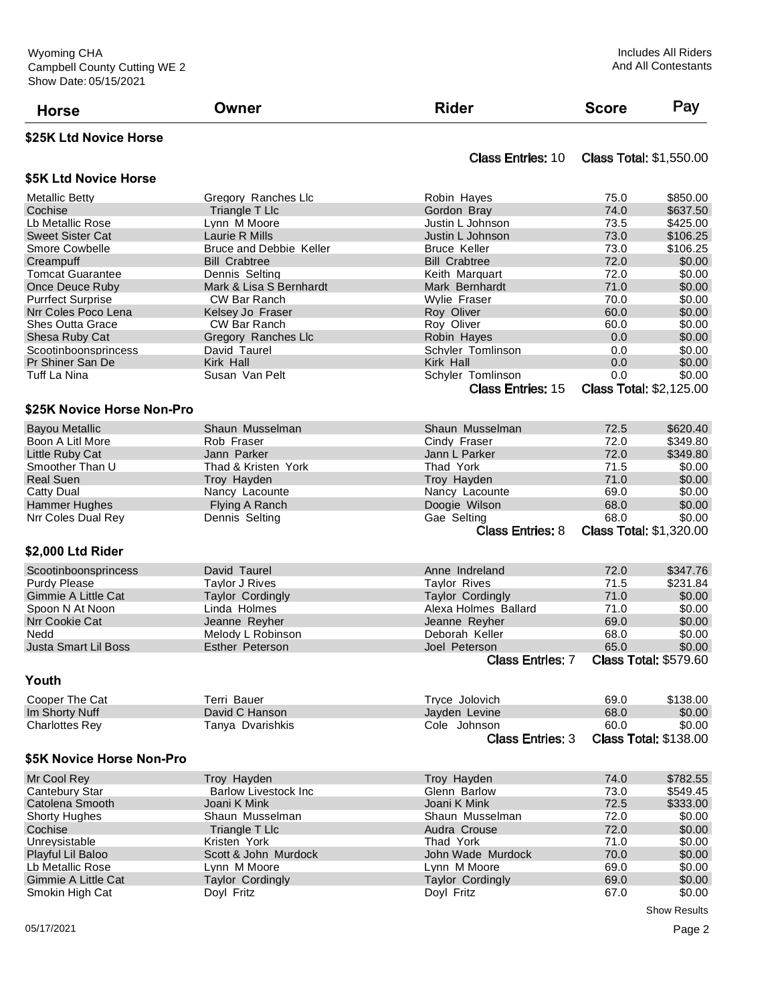| <b>Horse</b>                                   | Owner                            | <b>Rider</b>                 | <b>Score</b> | Pay                            |
|------------------------------------------------|----------------------------------|------------------------------|--------------|--------------------------------|
| \$25K Ltd Novice Horse                         |                                  |                              |              |                                |
|                                                |                                  | <b>Class Entries: 10</b>     |              | <b>Class Total: \$1,550.00</b> |
| \$5K Ltd Novice Horse                          |                                  |                              |              |                                |
| <b>Metallic Betty</b>                          | Gregory Ranches Llc              | Robin Hayes                  | 75.0         | \$850.00                       |
| Cochise                                        | Triangle T Llc                   | Gordon Bray                  | 74.0         | \$637.50                       |
| Lb Metallic Rose                               | Lynn M Moore                     | Justin L Johnson             | 73.5         | \$425.00                       |
| <b>Sweet Sister Cat</b>                        | Laurie R Mills                   | Justin L Johnson             | 73.0         | \$106.25                       |
| <b>Smore Cowbelle</b>                          | Bruce and Debbie Keller          | <b>Bruce Keller</b>          | 73.0         | \$106.25                       |
| Creampuff                                      | <b>Bill Crabtree</b>             | <b>Bill Crabtree</b>         | 72.0         | \$0.00                         |
| <b>Tomcat Guarantee</b>                        | Dennis Seltina                   | Keith Marguart               | 72.0         | \$0.00                         |
| Once Deuce Ruby                                | Mark & Lisa S Bernhardt          | Mark Bernhardt               | 71.0         | \$0.00                         |
| <b>Purrfect Surprise</b>                       | CW Bar Ranch                     | <b>Wylie Fraser</b>          | 70.0         | \$0.00<br>\$0.00               |
| Nrr Coles Poco Lena<br><b>Shes Outta Grace</b> | Kelsey Jo Fraser<br>CW Bar Ranch | Roy Oliver<br>Roy Oliver     | 60.0<br>60.0 | \$0.00                         |
| Shesa Ruby Cat                                 | Gregory Ranches Llc              | Robin Hayes                  | 0.0          | \$0.00                         |
| Scootinboonsprincess                           | David Taurel                     | Schyler Tomlinson            | 0.0          | \$0.00                         |
| Pr Shiner San De                               | Kirk Hall                        | Kirk Hall                    | 0.0          | \$0.00                         |
| Tuff La Nina                                   | Susan Van Pelt                   | Schyler Tomlinson            | 0.0          | \$0.00                         |
|                                                |                                  | <b>Class Entries: 15</b>     |              | <b>Class Total: \$2,125.00</b> |
| \$25K Novice Horse Non-Pro                     |                                  |                              |              |                                |
|                                                |                                  |                              |              |                                |
| <b>Bavou Metallic</b>                          | Shaun Musselman                  | Shaun Musselman              | 72.5         | \$620.40                       |
| Boon A Litl More                               | Rob Fraser                       | Cindy Fraser                 | 72.0         | \$349.80                       |
| Little Ruby Cat                                | Jann Parker                      | Jann L Parker                | 72.0         | \$349.80                       |
| Smoother Than U                                | Thad & Kristen York              | Thad York                    | 71.5         | \$0.00                         |
| <b>Real Suen</b>                               | Troy Hayden                      | Troy Hayden                  | 71.0<br>69.0 | \$0.00                         |
| Catty Dual                                     | Nancy Lacounte                   | Nancy Lacounte               | 68.0         | \$0.00<br>\$0.00               |
| <b>Hammer Hughes</b><br>Nrr Coles Dual Rey     | Flying A Ranch<br>Dennis Selting | Doogie Wilson<br>Gae Selting | 68.0         | \$0.00                         |
|                                                |                                  | <b>Class Entries: 8</b>      |              | <b>Class Total: \$1,320.00</b> |
| \$2,000 Ltd Rider                              |                                  |                              |              |                                |
| Scootinboonsprincess                           | David Taurel                     | Anne Indreland               | 72.0         | \$347.76                       |
| <b>Purdy Please</b>                            | <b>Taylor J Rives</b>            | <b>Taylor Rives</b>          | 71.5         | \$231.84                       |
| <b>Gimmie A Little Cat</b>                     | <b>Taylor Cordingly</b>          | <b>Taylor Cordingly</b>      | 71.0         | \$0.00                         |
| Spoon N At Noon                                | Linda Holmes                     | Alexa Holmes Ballard         | 71.0         | \$0.00                         |
| <b>Nrr Cookie Cat</b>                          | Jeanne Reyher                    | Jeanne Reyher                | 69.0         | \$0.00                         |
| Nedd                                           | Melody L Robinson                | Deborah Keller               | 68.0         | \$0.00                         |
| Justa Smart Lil Boss                           | <b>Esther Peterson</b>           | Joel Peterson                | 65.0         | \$0.00                         |
|                                                |                                  | <b>Class Entries: 7</b>      |              | <b>Class Total: \$579.60</b>   |
| Youth                                          |                                  |                              |              |                                |
| Cooper The Cat                                 | Terri Bauer                      | Tryce Jolovich               | 69.0         | \$138.00                       |
| Im Shorty Nuff                                 | David C Hanson                   | Jayden Levine                | 68.0         | \$0.00                         |
| <b>Charlottes Rey</b>                          | Tanya Dvarishkis                 | Cole Johnson                 | 60.0         | \$0.00                         |
|                                                |                                  | <b>Class Entries: 3</b>      |              | <b>Class Total: \$138.00</b>   |
| \$5K Novice Horse Non-Pro                      |                                  |                              |              |                                |
| Mr Cool Rey                                    | Troy Hayden                      | Troy Hayden                  | 74.0         | \$782.55                       |
| Cantebury Star                                 | <b>Barlow Livestock Inc.</b>     | Glenn Barlow                 | 73.0         | \$549.45                       |
| Catolena Smooth                                | Joani K Mink                     | Joani K Mink                 | 72.5         | \$333.00                       |
| <b>Shorty Hughes</b>                           | Shaun Musselman                  | Shaun Musselman              | 72.0         | \$0.00                         |
| Cochise                                        | Triangle T Llc                   | Audra Crouse                 | 72.0         | \$0.00                         |
| Unreysistable                                  | Kristen York                     | Thad York                    | 71.0         | \$0.00                         |
| Playful Lil Baloo                              | Scott & John Murdock             | John Wade Murdock            | 70.0         | \$0.00                         |
| Lb Metallic Rose                               | Lynn M Moore                     | Lynn M Moore                 | 69.0         | \$0.00                         |
| <b>Gimmie A Little Cat</b>                     | <b>Taylor Cordingly</b>          | <b>Taylor Cordingly</b>      | 69.0         | \$0.00                         |
| Smokin High Cat                                | Doyl Fritz                       | Doyl Fritz                   | 67.0         | \$0.00                         |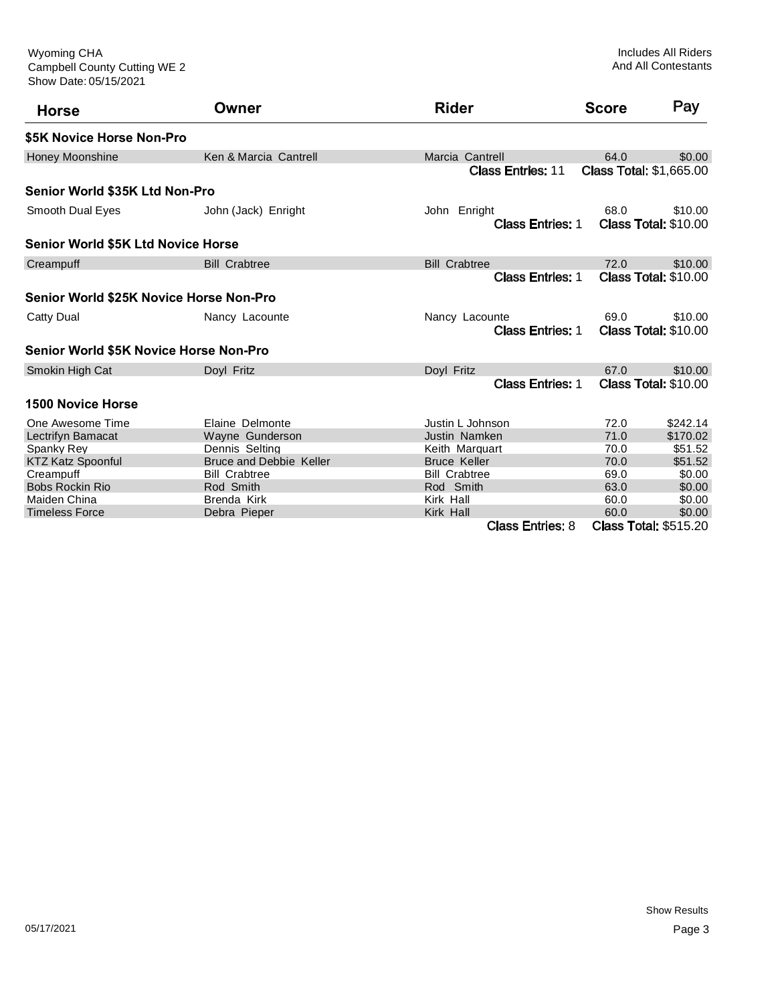Show Date: 05/15/2021 Campbell County Cutting WE 2 Wyoming CHA

| <b>Horse</b>                              | Owner                          | <b>Rider</b>             | <b>Score</b>                   | Pay                          |
|-------------------------------------------|--------------------------------|--------------------------|--------------------------------|------------------------------|
| \$5K Novice Horse Non-Pro                 |                                |                          |                                |                              |
| <b>Honey Moonshine</b>                    | Ken & Marcia Cantrell          | Marcia Cantrell          | 64.0                           | \$0.00                       |
|                                           |                                | <b>Class Entries: 11</b> | <b>Class Total: \$1,665.00</b> |                              |
| Senior World \$35K Ltd Non-Pro            |                                |                          |                                |                              |
| Smooth Dual Eyes                          | John (Jack) Enright            | John Enright             | 68.0                           | \$10.00                      |
|                                           |                                | <b>Class Entries: 1</b>  |                                | Class Total: \$10.00         |
| <b>Senior World \$5K Ltd Novice Horse</b> |                                |                          |                                |                              |
| Creampuff                                 | <b>Bill Crabtree</b>           | <b>Bill Crabtree</b>     | 72.0                           | \$10.00                      |
|                                           |                                | <b>Class Entries: 1</b>  |                                | <b>Class Total: \$10.00</b>  |
| Senior World \$25K Novice Horse Non-Pro   |                                |                          |                                |                              |
| Catty Dual                                | Nancy Lacounte                 | Nancy Lacounte           | 69.0                           | \$10.00                      |
|                                           |                                | <b>Class Entries: 1</b>  |                                | <b>Class Total: \$10.00</b>  |
| Senior World \$5K Novice Horse Non-Pro    |                                |                          |                                |                              |
| Smokin High Cat                           | Doyl Fritz                     | Doyl Fritz               | 67.0                           | \$10.00                      |
|                                           |                                | <b>Class Entries: 1</b>  |                                | <b>Class Total: \$10.00</b>  |
| <b>1500 Novice Horse</b>                  |                                |                          |                                |                              |
| One Awesome Time                          | Elaine Delmonte                | Justin L Johnson         | 72.0                           | \$242.14                     |
| <b>Lectrifyn Bamacat</b>                  | Wayne Gunderson                | Justin Namken            | 71.0                           | \$170.02                     |
| Spanky Rey                                | Dennis Selting                 | Keith Marquart           | 70.0                           | \$51.52                      |
| <b>KTZ Katz Spoonful</b>                  | <b>Bruce and Debbie Keller</b> | <b>Bruce Keller</b>      | 70.0                           | \$51.52                      |
| Creampuff                                 | <b>Bill Crabtree</b>           | <b>Bill Crabtree</b>     | 69.0                           | \$0.00                       |
| <b>Bobs Rockin Rio</b>                    | Rod Smith                      | Rod Smith                | 63.0                           | \$0.00                       |
| Maiden China                              | Brenda Kirk                    | Kirk Hall                | 60.0                           | \$0.00                       |
| <b>Timeless Force</b>                     | Debra Pieper                   | Kirk Hall                | 60.0                           | \$0.00                       |
|                                           |                                | <b>Class Entries: 8</b>  |                                | <b>Class Total: \$515.20</b> |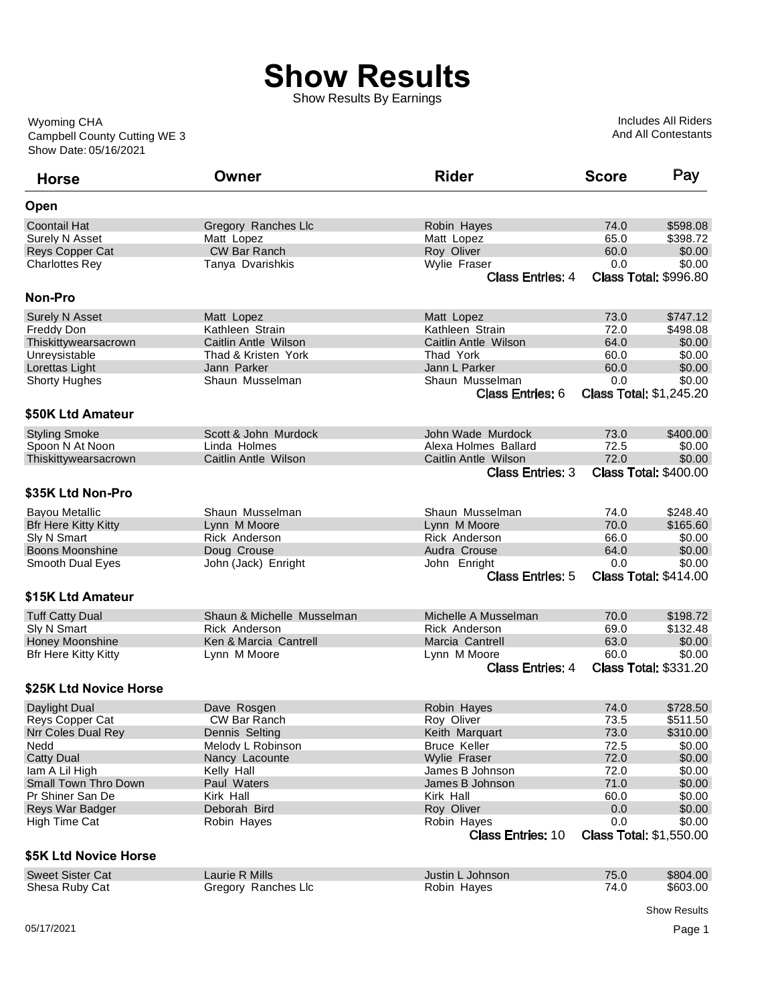## **Show Results**

Show Results By Earnings

Show Date: 05/16/2021 Campbell County Cutting WE 3 Wyoming CHA

Includes All Riders And All Contestants

| <b>Horse</b>                | Owner                      | <b>Rider</b>                            | <b>Score</b> | Pay                            |
|-----------------------------|----------------------------|-----------------------------------------|--------------|--------------------------------|
| Open                        |                            |                                         |              |                                |
| <b>Coontail Hat</b>         | Gregory Ranches Llc        | Robin Hayes                             | 74.0         | \$598.08                       |
| Surely N Asset              | Matt Lopez                 | Matt Lopez                              | 65.0         | \$398.72                       |
| Reys Copper Cat             | <b>CW Bar Ranch</b>        | Roy Oliver                              | 60.0         | \$0.00                         |
| <b>Charlottes Rey</b>       | Tanya Dvarishkis           | Wylie Fraser                            | 0.0          | \$0.00                         |
|                             |                            | <b>Class Entries: 4</b>                 |              | <b>Class Total: \$996.80</b>   |
| <b>Non-Pro</b>              |                            |                                         |              |                                |
| <b>Surely N Asset</b>       | Matt Lopez                 | Matt Lopez                              | 73.0         | \$747.12                       |
| Freddy Don                  | Kathleen Strain            | Kathleen Strain                         | 72.0         | \$498.08                       |
| Thiskittywearsacrown        | Caitlin Antle Wilson       | Caitlin Antle Wilson                    | 64.0         | \$0.00                         |
| Unreysistable               | Thad & Kristen York        | Thad York                               | 60.0         | \$0.00                         |
| Lorettas Light              | Jann Parker                | Jann L Parker                           | 60.0         | \$0.00                         |
| <b>Shorty Hughes</b>        | Shaun Musselman            | Shaun Musselman                         | 0.0          | \$0.00                         |
|                             |                            | <b>Class Entries: 6</b>                 |              | <b>Class Total: \$1,245.20</b> |
| \$50K Ltd Amateur           |                            |                                         |              |                                |
| <b>Styling Smoke</b>        | Scott & John Murdock       | John Wade Murdock                       | 73.0         | \$400.00                       |
| Spoon N At Noon             | Linda Holmes               | Alexa Holmes Ballard                    | 72.5         | \$0.00                         |
| Thiskittywearsacrown        | Caitlin Antle Wilson       | Caitlin Antle Wilson                    | 72.0         | \$0.00                         |
|                             |                            | <b>Class Entries: 3</b>                 |              | <b>Class Total: \$400.00</b>   |
| \$35K Ltd Non-Pro           |                            |                                         |              |                                |
| Bayou Metallic              | Shaun Musselman            | Shaun Musselman                         | 74.0         | \$248.40                       |
| <b>Bfr Here Kitty Kitty</b> | Lynn M Moore               | Lynn M Moore                            | 70.0         | \$165.60                       |
| Sly N Smart                 | Rick Anderson              | Rick Anderson                           | 66.0         | \$0.00                         |
| <b>Boons Moonshine</b>      | Doug Crouse                | Audra Crouse                            | 64.0         | \$0.00                         |
| Smooth Dual Eyes            | John (Jack) Enright        | John Enright                            | 0.0          | \$0.00                         |
|                             |                            | <b>Class Entries: 5</b>                 |              | <b>Class Total: \$414.00</b>   |
| \$15K Ltd Amateur           |                            |                                         |              |                                |
| <b>Tuff Catty Dual</b>      | Shaun & Michelle Musselman | Michelle A Musselman                    | 70.0         | \$198.72                       |
| Sly N Smart                 | Rick Anderson              | Rick Anderson                           | 69.0         | \$132.48                       |
| Honey Moonshine             | Ken & Marcia Cantrell      | Marcia Cantrell                         | 63.0         | \$0.00                         |
| <b>Bfr Here Kitty Kitty</b> | Lynn M Moore               | Lynn M Moore                            | 60.0         | \$0.00                         |
|                             |                            | <b>Class Entries: 4</b>                 |              | <b>Class Total: \$331.20</b>   |
| \$25K Ltd Novice Horse      |                            |                                         |              |                                |
| Daylight Dual               | Dave Rosgen                | Robin Hayes                             | 74.0         | \$728.50                       |
| Reys Copper Cat             | CW Bar Ranch               | Roy Oliver                              | 73.5         | \$511.50                       |
| Nrr Coles Dual Rey          | Dennis Selting             | Keith Marquart                          | 73.0         | \$310.00                       |
| Nedd                        | Melody L Robinson          | <b>Bruce Keller</b>                     | 72.5         | \$0.00                         |
| <b>Catty Dual</b>           | Nancy Lacounte             | Wylie Fraser                            | 72.0         | \$0.00                         |
| lam A Lil High              | Kelly Hall                 | James B Johnson                         | 72.0         | \$0.00                         |
| <b>Small Town Thro Down</b> | Paul Waters                | James B Johnson                         | 71.0         | \$0.00                         |
| Pr Shiner San De            | Kirk Hall                  | Kirk Hall                               | 60.0         | \$0.00                         |
| Reys War Badger             | Deborah Bird               | Roy Oliver                              | 0.0          | \$0.00                         |
| High Time Cat               | Robin Hayes                |                                         | 0.0          | \$0.00                         |
|                             |                            | Robin Hayes<br><b>Class Entries: 10</b> |              | <b>Class Total: \$1,550.00</b> |
|                             |                            |                                         |              |                                |
| \$5K Ltd Novice Horse       |                            |                                         |              |                                |
| <b>Sweet Sister Cat</b>     | Laurie R Mills             | Justin L Johnson                        | 75.0         | \$804.00                       |
| Shesa Ruby Cat              | Gregory Ranches Llc        | Robin Hayes                             | 74.0         | \$603.00                       |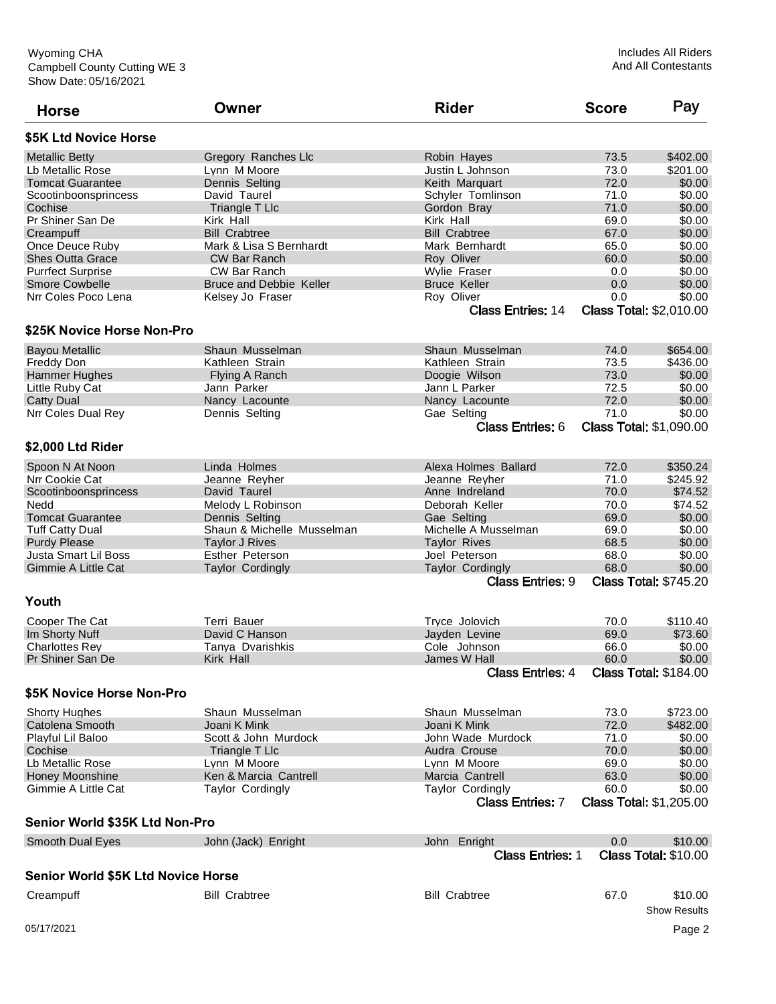| <b>Horse</b>                       | Owner                          | <b>Rider</b>                             | <b>Score</b> | Pay                            |
|------------------------------------|--------------------------------|------------------------------------------|--------------|--------------------------------|
| \$5K Ltd Novice Horse              |                                |                                          |              |                                |
| <b>Metallic Betty</b>              | Gregory Ranches Llc            | Robin Hayes                              | 73.5         | \$402.00                       |
| Lb Metallic Rose                   | Lynn M Moore                   | Justin L Johnson                         | 73.0         | \$201.00                       |
| <b>Tomcat Guarantee</b>            | Dennis Selting                 | Keith Marquart                           | 72.0         | \$0.00                         |
| Scootinboonsprincess               | David Taurel                   | Schyler Tomlinson                        | 71.0         | \$0.00                         |
| Cochise                            | Triangle T Llc                 | Gordon Bray                              | 71.0         | \$0.00                         |
| Pr Shiner San De                   | Kirk Hall                      | Kirk Hall                                | 69.0         | \$0.00                         |
| Creampuff                          | <b>Bill Crabtree</b>           | <b>Bill Crabtree</b>                     | 67.0         | \$0.00                         |
| Once Deuce Ruby                    | Mark & Lisa S Bernhardt        | Mark Bernhardt                           | 65.0         | \$0.00                         |
| <b>Shes Outta Grace</b>            | <b>CW Bar Ranch</b>            | Roy Oliver                               | 60.0         | \$0.00                         |
| <b>Purrfect Surprise</b>           | <b>CW Bar Ranch</b>            | Wylie Fraser                             | 0.0          | \$0.00                         |
| <b>Smore Cowbelle</b>              | <b>Bruce and Debbie Keller</b> | <b>Bruce Keller</b>                      | 0.0          | \$0.00                         |
| Nrr Coles Poco Lena                | Kelsey Jo Fraser               | Roy Oliver                               | 0.0          | \$0.00                         |
|                                    |                                | <b>Class Entries: 14</b>                 |              | <b>Class Total: \$2,010.00</b> |
| \$25K Novice Horse Non-Pro         |                                |                                          |              |                                |
| <b>Bayou Metallic</b>              | Shaun Musselman                | Shaun Musselman                          | 74.0         | \$654.00                       |
| Freddy Don                         | Kathleen Strain                | Kathleen Strain                          | 73.5         | \$436.00                       |
| Hammer Hughes                      | Flying A Ranch                 | Doogie Wilson                            | 73.0         | \$0.00                         |
| Little Ruby Cat                    | Jann Parker                    | Jann L Parker                            | 72.5         | \$0.00                         |
| <b>Catty Dual</b>                  | Nancy Lacounte                 | Nancy Lacounte                           | 72.0         | \$0.00                         |
| Nrr Coles Dual Rey                 | Dennis Selting                 | Gae Selting                              | 71.0         | \$0.00                         |
|                                    |                                | <b>Class Entries: 6</b>                  |              | <b>Class Total: \$1,090.00</b> |
| \$2,000 Ltd Rider                  |                                |                                          |              |                                |
| Spoon N At Noon                    | Linda Holmes                   | Alexa Holmes Ballard                     | 72.0         | \$350.24                       |
| Nrr Cookie Cat                     | Jeanne Reyher                  | Jeanne Reyher                            | 71.0         | \$245.92                       |
| Scootinboonsprincess               | David Taurel                   | Anne Indreland                           | 70.0         | \$74.52                        |
| Nedd                               | Melody L Robinson              | Deborah Keller                           | 70.0         | \$74.52                        |
| <b>Tomcat Guarantee</b>            | Dennis Selting                 | Gae Selting                              | 69.0         | \$0.00                         |
| <b>Tuff Catty Dual</b>             | Shaun & Michelle Musselman     | Michelle A Musselman                     | 69.0         | \$0.00                         |
| <b>Purdy Please</b>                | <b>Taylor J Rives</b>          | <b>Taylor Rives</b>                      | 68.5         | \$0.00                         |
| Justa Smart Lil Boss               | <b>Esther Peterson</b>         |                                          | 68.0         | \$0.00                         |
| Gimmie A Little Cat                | <b>Taylor Cordingly</b>        | Joel Peterson<br><b>Taylor Cordingly</b> | 68.0         | \$0.00                         |
|                                    |                                | <b>Class Entries: 9</b>                  |              | <b>Class Total: \$745.20</b>   |
| Youth                              |                                |                                          |              |                                |
| Cooper The Cat                     | Terri Bauer                    | Tryce Jolovich                           | 70.0         | \$110.40                       |
| Im Shorty Nuff                     | David C Hanson                 | Jayden Levine                            | 69.0         | \$73.60                        |
| <b>Charlottes Rev</b>              | Tanya Dvarishkis               | Cole Johnson                             | 66.0         | \$0.00                         |
| Pr Shiner San De                   | Kirk Hall                      | James W Hall                             | 60.0         | \$0.00                         |
|                                    |                                | <b>Class Entries: 4</b>                  |              | <b>Class Total: \$184.00</b>   |
| \$5K Novice Horse Non-Pro          |                                |                                          |              |                                |
| <b>Shorty Hughes</b>               | Shaun Musselman                | Shaun Musselman                          | 73.0         | \$723.00                       |
| Catolena Smooth                    | Joani K Mink                   | Joani K Mink                             | 72.0         | \$482.00                       |
| Playful Lil Baloo                  | Scott & John Murdock           | John Wade Murdock                        | 71.0         | \$0.00                         |
| Cochise                            | Triangle T Llc                 | Audra Crouse                             | 70.0         | \$0.00                         |
| Lb Metallic Rose                   | Lynn M Moore                   | Lynn M Moore                             | 69.0         | \$0.00                         |
| Honey Moonshine                    | Ken & Marcia Cantrell          | Marcia Cantrell                          | 63.0         | \$0.00                         |
| Gimmie A Little Cat                | <b>Taylor Cordingly</b>        | <b>Taylor Cordingly</b>                  | 60.0         | \$0.00                         |
|                                    |                                | <b>Class Entries: 7</b>                  |              | <b>Class Total: \$1,205.00</b> |
| Senior World \$35K Ltd Non-Pro     |                                |                                          |              |                                |
| <b>Smooth Dual Eyes</b>            | John (Jack) Enright            | John Enright                             | 0.0          | \$10.00                        |
|                                    |                                | <b>Class Entries: 1</b>                  |              | <b>Class Total: \$10.00</b>    |
| Senior World \$5K Ltd Novice Horse |                                |                                          |              |                                |
| Creampuff                          | <b>Bill Crabtree</b>           | <b>Bill Crabtree</b>                     | 67.0         | \$10.00<br><b>Show Results</b> |
| 05/17/2021                         |                                |                                          |              | Page 2                         |